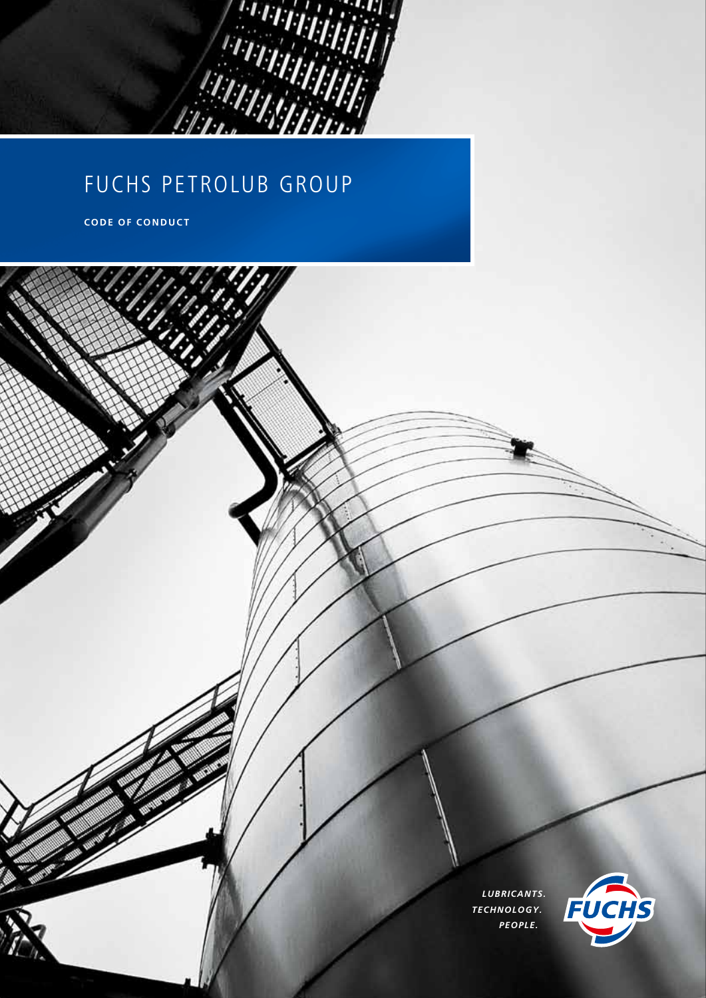

# FUCHS PETROLUB GROUP

**CODE OF CONDUCT**

*LUBRICANTS. TECHNOLOGY. PEOPLE.*

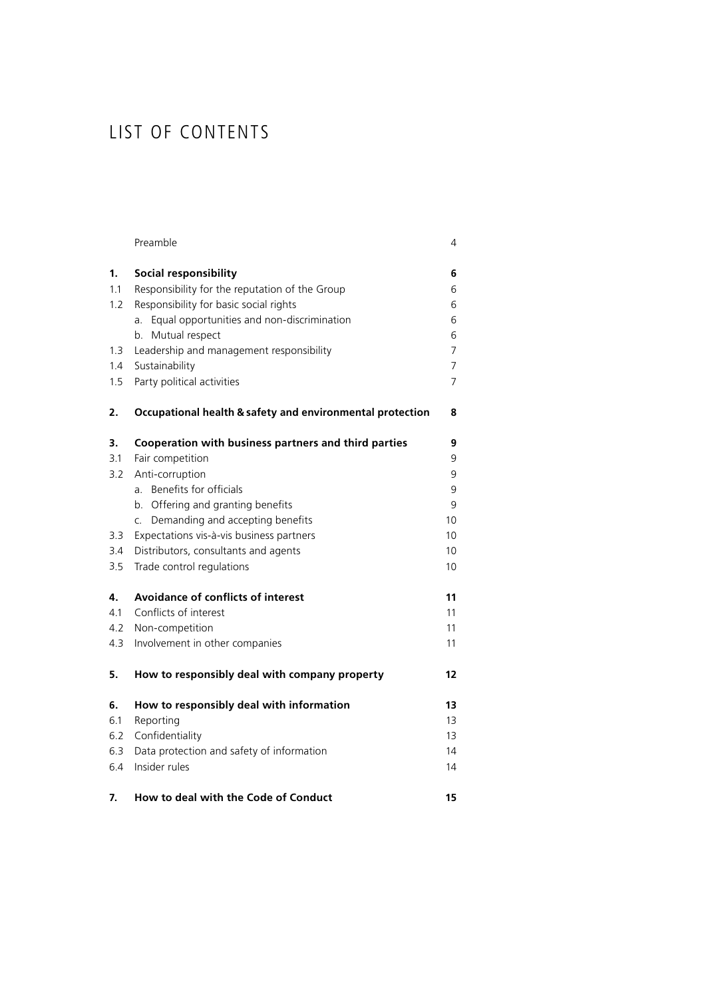## List of contents

|     | Preamble                                                  | 4  |
|-----|-----------------------------------------------------------|----|
| 1.  | Social responsibility                                     | 6  |
| 1.1 | Responsibility for the reputation of the Group            | 6  |
| 1.2 | Responsibility for basic social rights                    | 6  |
|     | Equal opportunities and non-discrimination<br>a.          | 6  |
|     | Mutual respect<br>b.                                      | 6  |
| 1.3 | Leadership and management responsibility                  | 7  |
| 1.4 | Sustainability                                            | 7  |
| 1.5 | Party political activities                                | 7  |
| 2.  | Occupational health & safety and environmental protection | 8  |
| 3.  | Cooperation with business partners and third parties      | 9  |
| 3.1 | Fair competition                                          | 9  |
| 3.2 | Anti-corruption                                           | 9  |
|     | Benefits for officials<br>a.                              | 9  |
|     | Offering and granting benefits<br>b.                      | 9  |
|     | Demanding and accepting benefits<br>C.                    | 10 |
| 3.3 | Expectations vis-à-vis business partners                  | 10 |
| 3.4 | Distributors, consultants and agents                      | 10 |
| 3.5 | Trade control regulations                                 | 10 |
| 4.  | <b>Avoidance of conflicts of interest</b>                 | 11 |
| 4.1 | Conflicts of interest                                     | 11 |
| 4.2 | Non-competition                                           | 11 |
| 4.3 | Involvement in other companies                            | 11 |
| 5.  | How to responsibly deal with company property             | 12 |
| 6.  | How to responsibly deal with information                  | 13 |
| 6.1 | Reporting                                                 | 13 |
| 6.2 | Confidentiality                                           | 13 |
| 6.3 | Data protection and safety of information                 | 14 |
| 6.4 | Insider rules                                             | 14 |
| 7.  | How to deal with the Code of Conduct                      | 15 |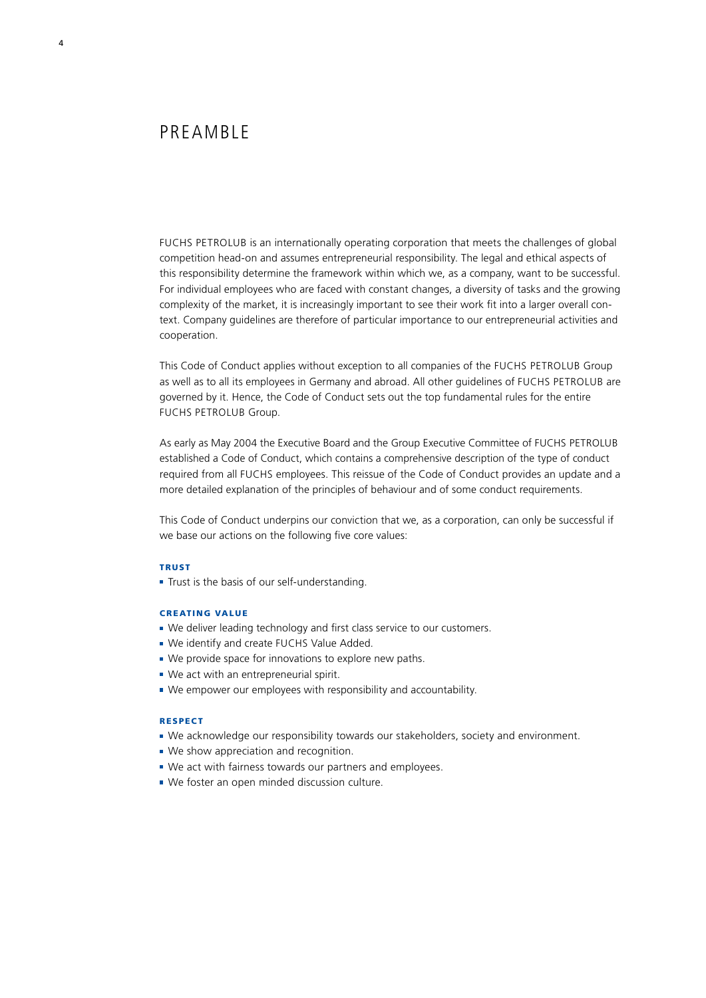PREAMBLE

FUCHS PETROLUB is an internationally operating corporation that meets the challenges of global competition head-on and assumes entrepreneurial responsibility. The legal and ethical aspects of this responsibility determine the framework within which we, as a company, want to be successful. For individual employees who are faced with constant changes, a diversity of tasks and the growing complexity of the market, it is increasingly important to see their work fit into a larger overall context. Company guidelines are therefore of particular importance to our entrepreneurial activities and cooperation.

This Code of Conduct applies without exception to all companies of the FUCHS PETROLUB Group as well as to all its employees in Germany and abroad. All other guidelines of FUCHS PETROLUB are governed by it. Hence, the Code of Conduct sets out the top fundamental rules for the entire FUCHS PETROLUB Group.

As early as May 2004 the Executive Board and the Group Executive Committee of FUCHS PETROLUB established a Code of Conduct, which contains a comprehensive description of the type of conduct required from all FUCHS employees. This reissue of the Code of Conduct provides an update and a more detailed explanation of the principles of behaviour and of some conduct requirements.

This Code of Conduct underpins our conviction that we, as a corporation, can only be successful if we base our actions on the following five core values:

#### **TRUST**

Trust is the basis of our self-understanding.

#### Creating value

- We deliver leading technology and first class service to our customers.
- We identify and create FUCHS Value Added.
- We provide space for innovations to explore new paths.
- We act with an entrepreneurial spirit.
- We empower our employees with responsibility and accountability.

#### Respect

- We acknowledge our responsibility towards our stakeholders, society and environment.
- We show appreciation and recognition.
- We act with fairness towards our partners and employees.
- We foster an open minded discussion culture.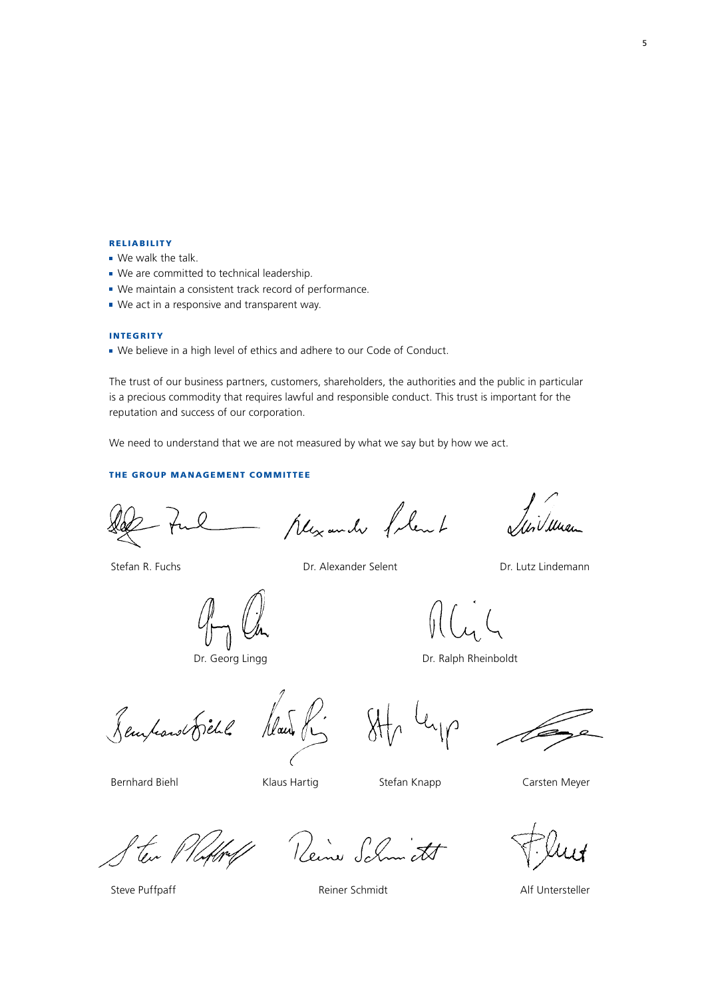#### **RELIABILITY**

- We walk the talk.
- We are committed to technical leadership.
- We maintain a consistent track record of performance.
- We act in a responsive and transparent way.

#### **INTEGRITY**

We believe in a high level of ethics and adhere to our Code of Conduct.

The trust of our business partners, customers, shareholders, the authorities and the public in particular is a precious commodity that requires lawful and responsible conduct. This trust is important for the reputation and success of our corporation.

We need to understand that we are not measured by what we say but by how we act.

#### The Group Management Committee

- Mexander follent

Stefan R. Fuchs Dr. Alexander Selent

Dr. Lutz Lindemann

Dr. Georg Lingg

Dr. Ralph Rheinboldt

Remposes Dichl

Mais P.

Bernhard Biehl

Klaus Hartig **Stefan Knapp** Carsten Meyer

Reine Schmicht

Steve Puffpaff **Reiner Schmidt** Reiner Schmidt Alf Untersteller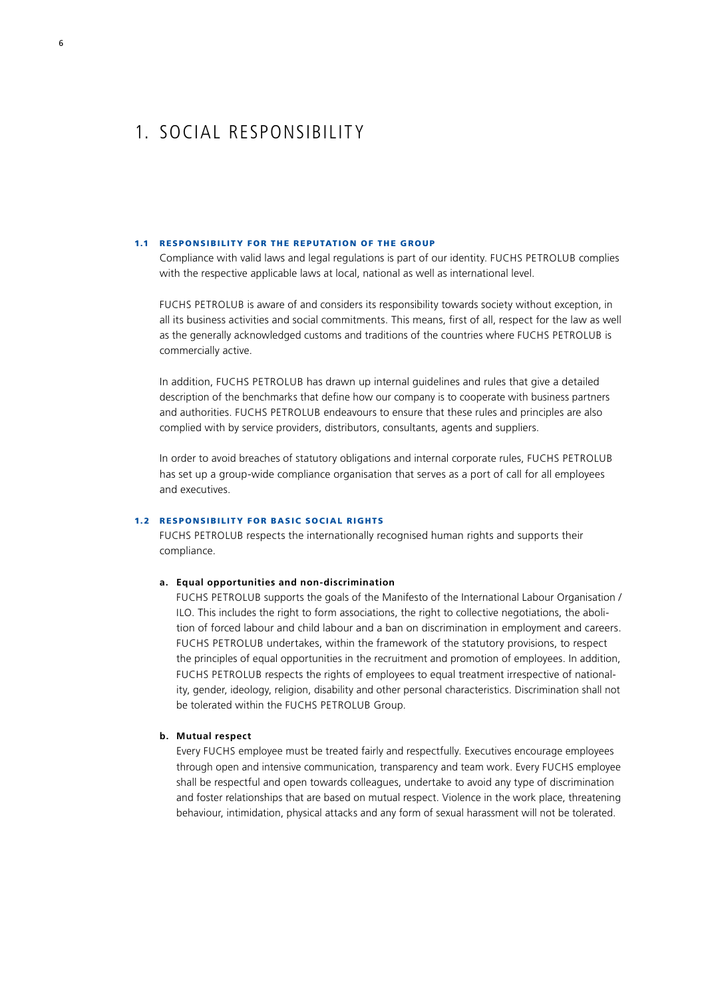### 1. Social responsibility

#### 1.1 RESPONSIBILITY FOR THE REPUTATION OF THE GROUP

Compliance with valid laws and legal regulations is part of our identity. FUCHS PETROLUB complies with the respective applicable laws at local, national as well as international level.

FUCHS PETROLUB is aware of and considers its responsibility towards society without exception, in all its business activities and social commitments. This means, first of all, respect for the law as well as the generally acknowledged customs and traditions of the countries where FUCHS PETROLUB is commercially active.

In addition, FUCHS PETROLUB has drawn up internal guidelines and rules that give a detailed description of the benchmarks that define how our company is to cooperate with business partners and authorities. FUCHS PETROLUB endeavours to ensure that these rules and principles are also complied with by service providers, distributors, consultants, agents and suppliers.

In order to avoid breaches of statutory obligations and internal corporate rules, FUCHS PETROLUB has set up a group-wide compliance organisation that serves as a port of call for all employees and executives.

#### 1.2 RESPONSIBILITY FOR BASIC SOCIAL RIGHTS

FUCHS PETROLUB respects the internationally recognised human rights and supports their compliance.

#### **a. Equal opportunities and non-discrimination**

FUCHS PETROLUB supports the goals of the Manifesto of the International Labour Organisation / ILO. This includes the right to form associations, the right to collective negotiations, the abolition of forced labour and child labour and a ban on discrimination in employment and careers. FUCHS PETROLUB undertakes, within the framework of the statutory provisions, to respect the principles of equal opportunities in the recruitment and promotion of employees. In addition, FUCHS PETROLUB respects the rights of employees to equal treatment irrespective of nationality, gender, ideology, religion, disability and other personal characteristics. Discrimination shall not be tolerated within the FUCHS PETROLUB Group.

#### **b. Mutual respect**

Every FUCHS employee must be treated fairly and respectfully. Executives encourage employees through open and intensive communication, transparency and team work. Every FUCHS employee shall be respectful and open towards colleagues, undertake to avoid any type of discrimination and foster relationships that are based on mutual respect. Violence in the work place, threatening behaviour, intimidation, physical attacks and any form of sexual harassment will not be tolerated.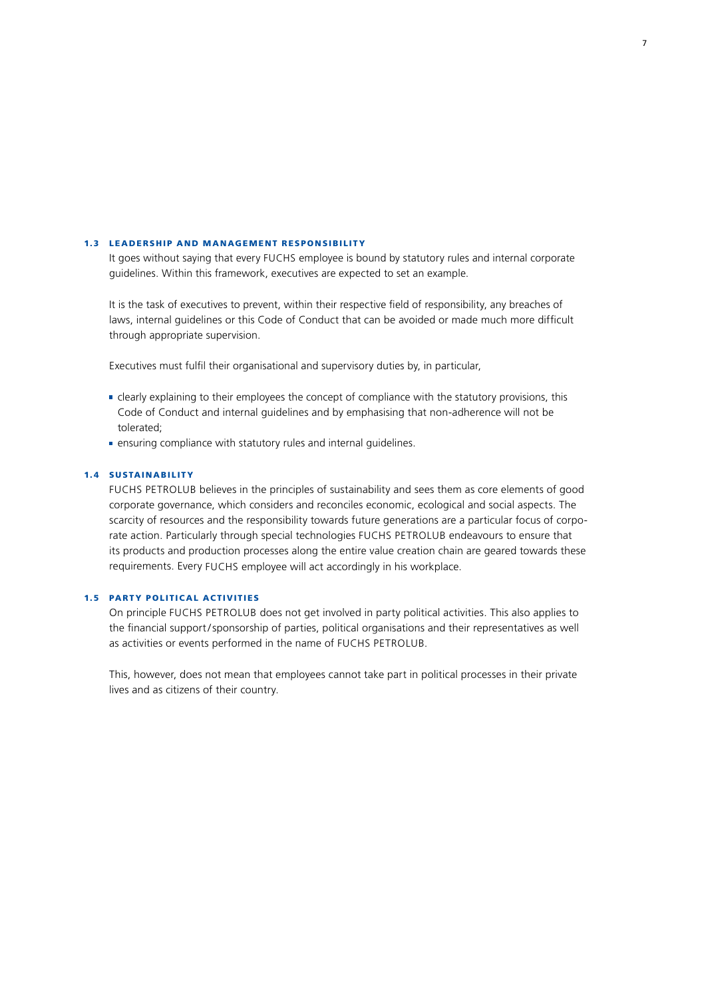#### 1.3 LEADERSHIP AND MANAGEMENT RESPONSIBILITY

It goes without saying that every FUCHS employee is bound by statutory rules and internal corporate guidelines. Within this framework, executives are expected to set an example.

It is the task of executives to prevent, within their respective field of responsibility, any breaches of laws, internal guidelines or this Code of Conduct that can be avoided or made much more difficult through appropriate supervision.

Executives must fulfil their organisational and supervisory duties by, in particular,

- clearly explaining to their employees the concept of compliance with the statutory provisions, this Code of Conduct and internal guidelines and by emphasising that non-adherence will not be tolerated;
- **EXECUTE:** ensuring compliance with statutory rules and internal guidelines.

#### 1.4 Sustainabilit y

FUCHS PETROLUB believes in the principles of sustainability and sees them as core elements of good corporate governance, which considers and reconciles economic, ecological and social aspects. The scarcity of resources and the responsibility towards future generations are a particular focus of corporate action. Particularly through special technologies FUCHS PETROLUB endeavours to ensure that its products and production processes along the entire value creation chain are geared towards these requirements. Every FUCHS employee will act accordingly in his workplace.

#### 1.5 PARTY POLITICAL ACTIVITIES

On principle FUCHS PETROLUB does not get involved in party political activities. This also applies to the financial support/sponsorship of parties, political organisations and their representatives as well as activities or events performed in the name of FUCHS PETROLUB.

This, however, does not mean that employees cannot take part in political processes in their private lives and as citizens of their country.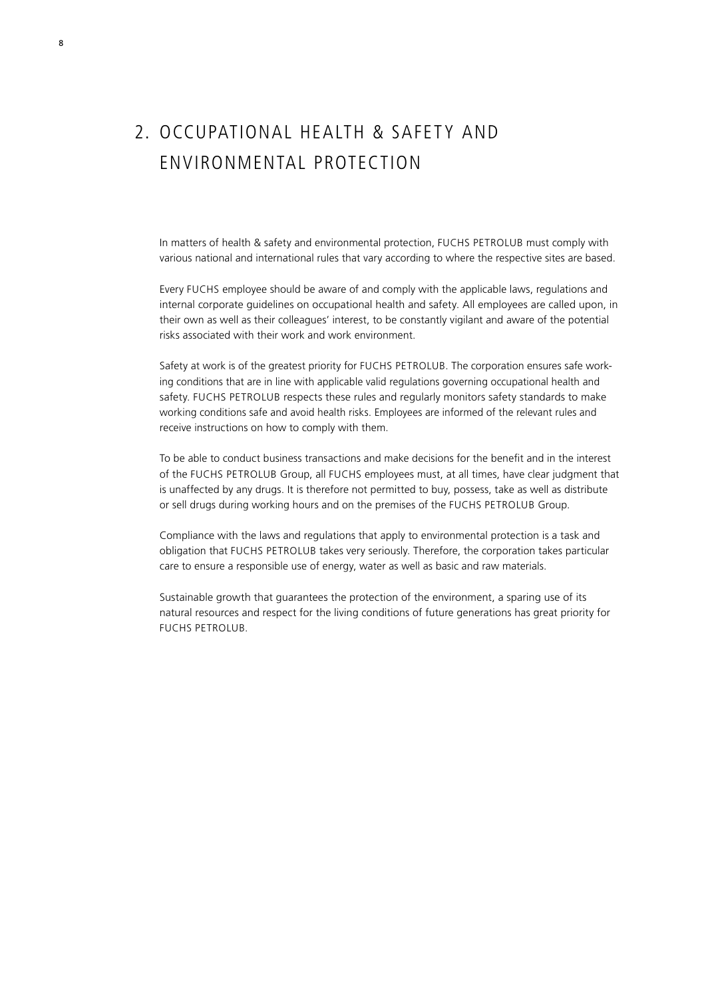## 2. Occupational health & safety and environmental protection

In matters of health & safety and environmental protection, FUCHS PETROLUB must comply with various national and international rules that vary according to where the respective sites are based.

Every FUCHS employee should be aware of and comply with the applicable laws, regulations and internal corporate guidelines on occupational health and safety. All employees are called upon, in their own as well as their colleagues' interest, to be constantly vigilant and aware of the potential risks associated with their work and work environment.

Safety at work is of the greatest priority for FUCHS PETROLUB. The corporation ensures safe working conditions that are in line with applicable valid regulations governing occupational health and safety. FUCHS PETROLUB respects these rules and regularly monitors safety standards to make working conditions safe and avoid health risks. Employees are informed of the relevant rules and receive instructions on how to comply with them.

To be able to conduct business transactions and make decisions for the benefit and in the interest of the FUCHS PETROLUB Group, all FUCHS employees must, at all times, have clear judgment that is unaffected by any drugs. It is therefore not permitted to buy, possess, take as well as distribute or sell drugs during working hours and on the premises of the FUCHS PETROLUB Group.

Compliance with the laws and regulations that apply to environmental protection is a task and obligation that FUCHS PETROLUB takes very seriously. Therefore, the corporation takes particular care to ensure a responsible use of energy, water as well as basic and raw materials.

Sustainable growth that guarantees the protection of the environment, a sparing use of its natural resources and respect for the living conditions of future generations has great priority for FUCHS PETROLUB.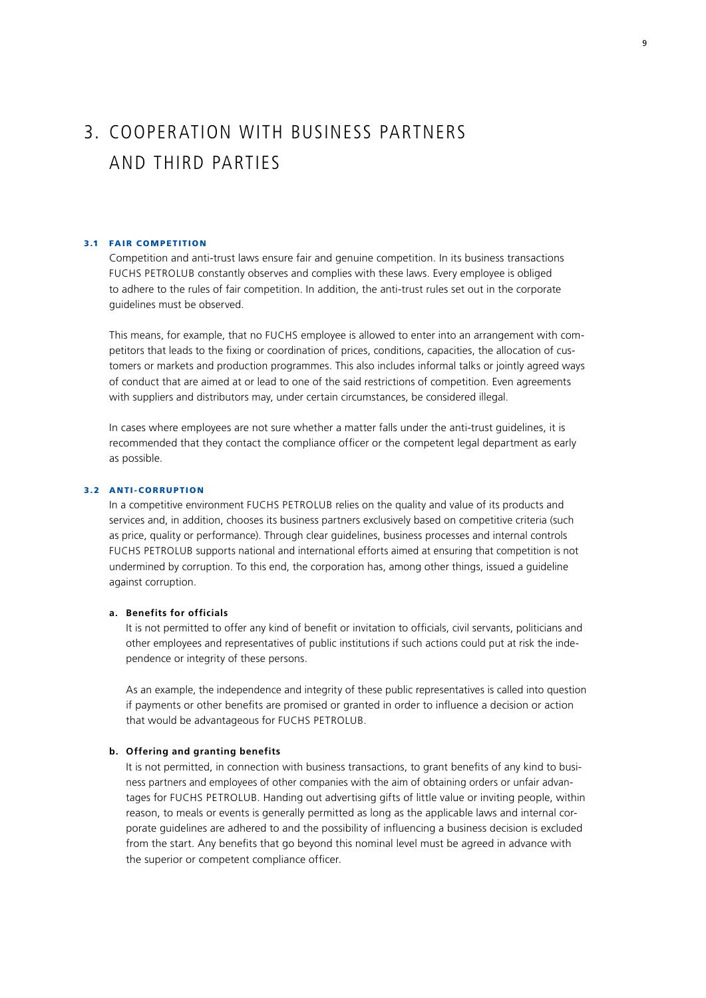## 3. Cooperation with business partners and third parties

#### 3.1 Fair competition

Competition and anti-trust laws ensure fair and genuine competition. In its business transactions FUCHS PETROLUB constantly observes and complies with these laws. Every employee is obliged to adhere to the rules of fair competition. In addition, the anti-trust rules set out in the corporate guidelines must be observed.

This means, for example, that no FUCHS employee is allowed to enter into an arrangement with competitors that leads to the fixing or coordination of prices, conditions, capacities, the allocation of customers or markets and production programmes. This also includes informal talks or jointly agreed ways of conduct that are aimed at or lead to one of the said restrictions of competition. Even agreements with suppliers and distributors may, under certain circumstances, be considered illegal.

In cases where employees are not sure whether a matter falls under the anti-trust guidelines, it is recommended that they contact the compliance officer or the competent legal department as early as possible.

#### 3.2 ANTI-CORRUPTION

In a competitive environment FUCHS PETROLUB relies on the quality and value of its products and services and, in addition, chooses its business partners exclusively based on competitive criteria (such as price, quality or performance). Through clear guidelines, business processes and internal controls FUCHS PETROLUB supports national and international efforts aimed at ensuring that competition is not undermined by corruption. To this end, the corporation has, among other things, issued a guideline against corruption.

#### **a. Benefits for officials**

It is not permitted to offer any kind of benefit or invitation to officials, civil servants, politicians and other employees and representatives of public institutions if such actions could put at risk the independence or integrity of these persons.

As an example, the independence and integrity of these public representatives is called into question if payments or other benefits are promised or granted in order to influence a decision or action that would be advantageous for FUCHS PETROLUB.

#### **b. Offering and granting benefits**

It is not permitted, in connection with business transactions, to grant benefits of any kind to business partners and employees of other companies with the aim of obtaining orders or unfair advantages for FUCHS PETROLUB. Handing out advertising gifts of little value or inviting people, within reason, to meals or events is generally permitted as long as the applicable laws and internal corporate guidelines are adhered to and the possibility of influencing a business decision is excluded from the start. Any benefits that go beyond this nominal level must be agreed in advance with the superior or competent compliance officer.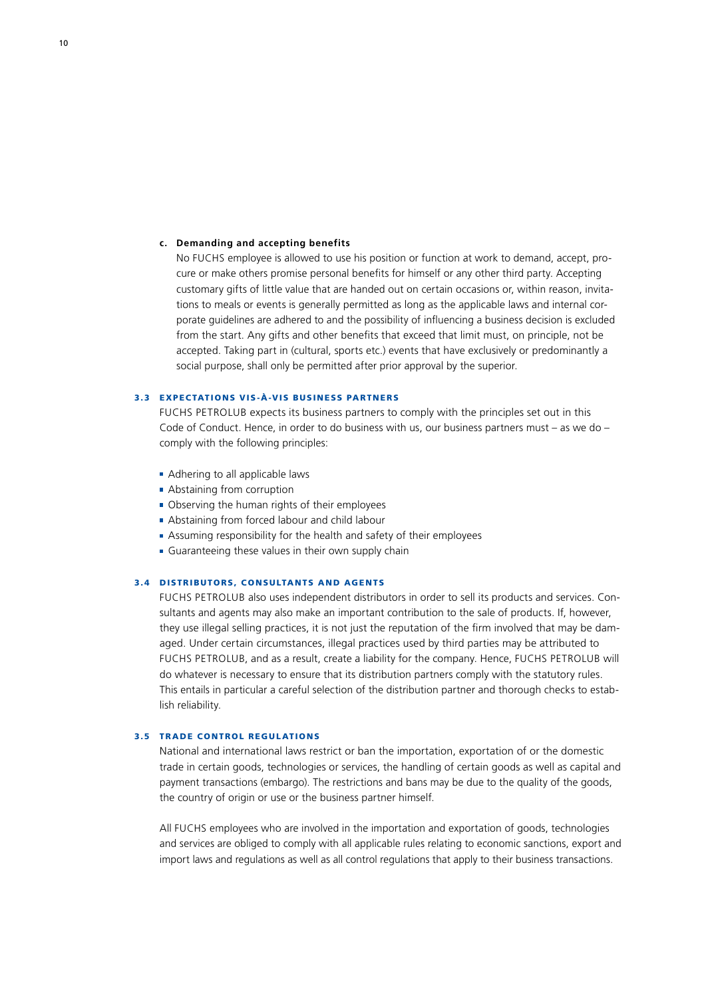#### **c. Demanding and accepting benefits**

No FUCHS employee is allowed to use his position or function at work to demand, accept, procure or make others promise personal benefits for himself or any other third party. Accepting customary gifts of little value that are handed out on certain occasions or, within reason, invitations to meals or events is generally permitted as long as the applicable laws and internal corporate guidelines are adhered to and the possibility of influencing a business decision is excluded from the start. Any gifts and other benefits that exceed that limit must, on principle, not be accepted. Taking part in (cultural, sports etc.) events that have exclusively or predominantly a social purpose, shall only be permitted after prior approval by the superior.

#### 3.3 E xpectations vis-à-vis business partners

FUCHS PETROLUB expects its business partners to comply with the principles set out in this Code of Conduct. Hence, in order to do business with us, our business partners must – as we do – comply with the following principles:

- **Adhering to all applicable laws**
- **Abstaining from corruption**
- Observing the human rights of their employees
- Abstaining from forced labour and child labour
- Assuming responsibility for the health and safety of their employees
- Guaranteeing these values in their own supply chain

#### 3.4 DISTRIBUTORS, CONSULTANTS AND AGENTS

FUCHS PETROLUB also uses independent distributors in order to sell its products and services. Consultants and agents may also make an important contribution to the sale of products. If, however, they use illegal selling practices, it is not just the reputation of the firm involved that may be damaged. Under certain circumstances, illegal practices used by third parties may be attributed to FUCHS PETROLUB, and as a result, create a liability for the company. Hence, FUCHS PETROLUB will do whatever is necessary to ensure that its distribution partners comply with the statutory rules. This entails in particular a careful selection of the distribution partner and thorough checks to establish reliability.

#### 3.5 Trade control regulations

National and international laws restrict or ban the importation, exportation of or the domestic trade in certain goods, technologies or services, the handling of certain goods as well as capital and payment transactions (embargo). The restrictions and bans may be due to the quality of the goods, the country of origin or use or the business partner himself.

All FUCHS employees who are involved in the importation and exportation of goods, technologies and services are obliged to comply with all applicable rules relating to economic sanctions, export and import laws and regulations as well as all control regulations that apply to their business transactions.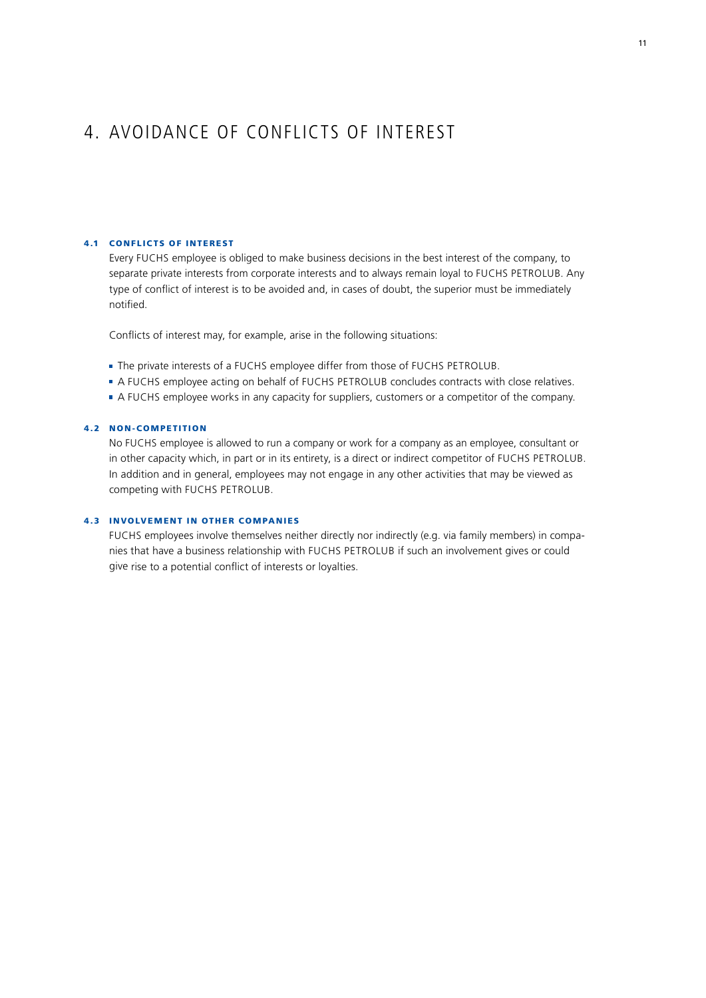### 4. Avoidance of conflicts of interest

#### 4.1 CONFLICTS OF INTEREST

Every FUCHS employee is obliged to make business decisions in the best interest of the company, to separate private interests from corporate interests and to always remain loyal to FUCHS PETROLUB. Any type of conflict of interest is to be avoided and, in cases of doubt, the superior must be immediately notified.

Conflicts of interest may, for example, arise in the following situations:

- The private interests of a FUCHS employee differ from those of FUCHS PETROLUB.
- A FUCHS employee acting on behalf of FUCHS PETROLUB concludes contracts with close relatives.
- A FUCHS employee works in any capacity for suppliers, customers or a competitor of the company.

#### 4.2 Non-competition

No FUCHS employee is allowed to run a company or work for a company as an employee, consultant or in other capacity which, in part or in its entirety, is a direct or indirect competitor of FUCHS PETROLUB. In addition and in general, employees may not engage in any other activities that may be viewed as competing with FUCHS PETROLUB.

#### 4.3 Involvement in other companies

FUCHS employees involve themselves neither directly nor indirectly (e.g. via family members) in companies that have a business relationship with FUCHS PETROLUB if such an involvement gives or could give rise to a potential conflict of interests or loyalties.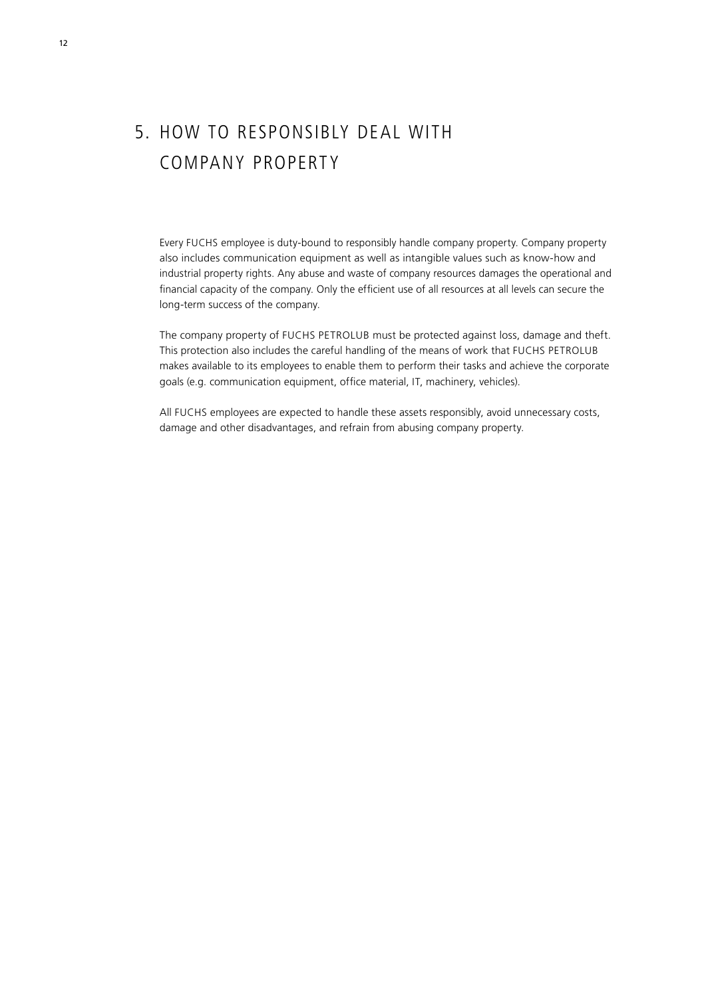## 5. How to responsibly deal with company property

Every FUCHS employee is duty-bound to responsibly handle company property. Company property also includes communication equipment as well as intangible values such as know-how and industrial property rights. Any abuse and waste of company resources damages the operational and financial capacity of the company. Only the efficient use of all resources at all levels can secure the long-term success of the company.

The company property of FUCHS PETROLUB must be protected against loss, damage and theft. This protection also includes the careful handling of the means of work that FUCHS PETROLUB makes available to its employees to enable them to perform their tasks and achieve the corporate goals (e.g. communication equipment, office material, IT, machinery, vehicles).

All FUCHS employees are expected to handle these assets responsibly, avoid unnecessary costs, damage and other disadvantages, and refrain from abusing company property.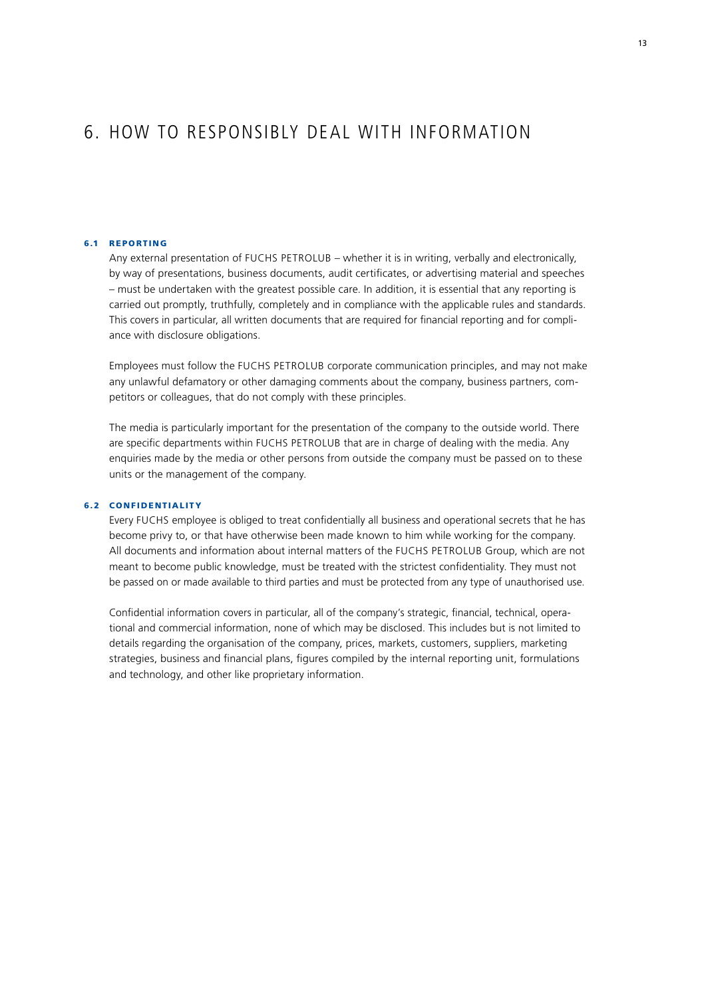### 6. How to responsibly deal with information

#### 6.1 Reporting

Any external presentation of FUCHS PETROLUB – whether it is in writing, verbally and electronically, by way of presentations, business documents, audit certificates, or advertising material and speeches – must be undertaken with the greatest possible care. In addition, it is essential that any reporting is carried out promptly, truthfully, completely and in compliance with the applicable rules and standards. This covers in particular, all written documents that are required for financial reporting and for compliance with disclosure obligations.

Employees must follow the FUCHS PETROLUB corporate communication principles, and may not make any unlawful defamatory or other damaging comments about the company, business partners, competitors or colleagues, that do not comply with these principles.

The media is particularly important for the presentation of the company to the outside world. There are specific departments within FUCHS PETROLUB that are in charge of dealing with the media. Any enquiries made by the media or other persons from outside the company must be passed on to these units or the management of the company.

#### 6.2 Confidentialit y

Every FUCHS employee is obliged to treat confidentially all business and operational secrets that he has become privy to, or that have otherwise been made known to him while working for the company. All documents and information about internal matters of the FUCHS PETROLUB Group, which are not meant to become public knowledge, must be treated with the strictest confidentiality. They must not be passed on or made available to third parties and must be protected from any type of unauthorised use.

Confidential information covers in particular, all of the company's strategic, financial, technical, operational and commercial information, none of which may be disclosed. This includes but is not limited to details regarding the organisation of the company, prices, markets, customers, suppliers, marketing strategies, business and financial plans, figures compiled by the internal reporting unit, formulations and technology, and other like proprietary information.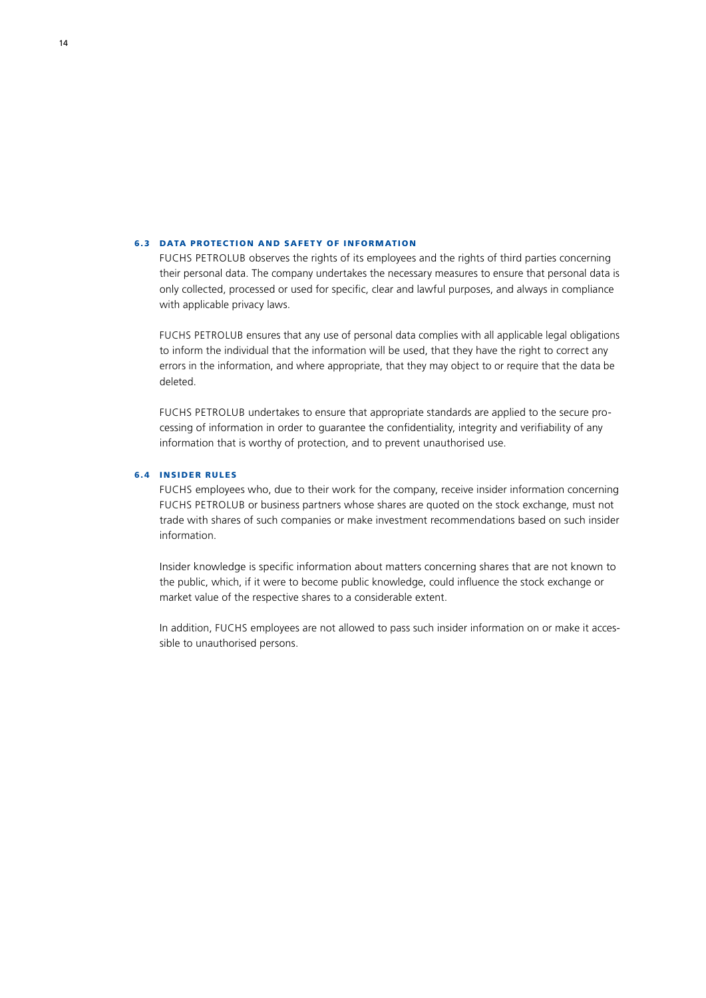#### 6.3 DATA PROTECTION AND SAFETY OF INFORMATION

FUCHS PETROLUB observes the rights of its employees and the rights of third parties concerning their personal data. The company undertakes the necessary measures to ensure that personal data is only collected, processed or used for specific, clear and lawful purposes, and always in compliance with applicable privacy laws.

FUCHS PETROLUB ensures that any use of personal data complies with all applicable legal obligations to inform the individual that the information will be used, that they have the right to correct any errors in the information, and where appropriate, that they may object to or require that the data be deleted.

FUCHS PETROLUB undertakes to ensure that appropriate standards are applied to the secure processing of information in order to guarantee the confidentiality, integrity and verifiability of any information that is worthy of protection, and to prevent unauthorised use.

#### 6.4 Insider rules

FUCHS employees who, due to their work for the company, receive insider information concerning FUCHS PETROLUB or business partners whose shares are quoted on the stock exchange, must not trade with shares of such companies or make investment recommendations based on such insider information.

Insider knowledge is specific information about matters concerning shares that are not known to the public, which, if it were to become public knowledge, could influence the stock exchange or market value of the respective shares to a considerable extent.

In addition, FUCHS employees are not allowed to pass such insider information on or make it accessible to unauthorised persons.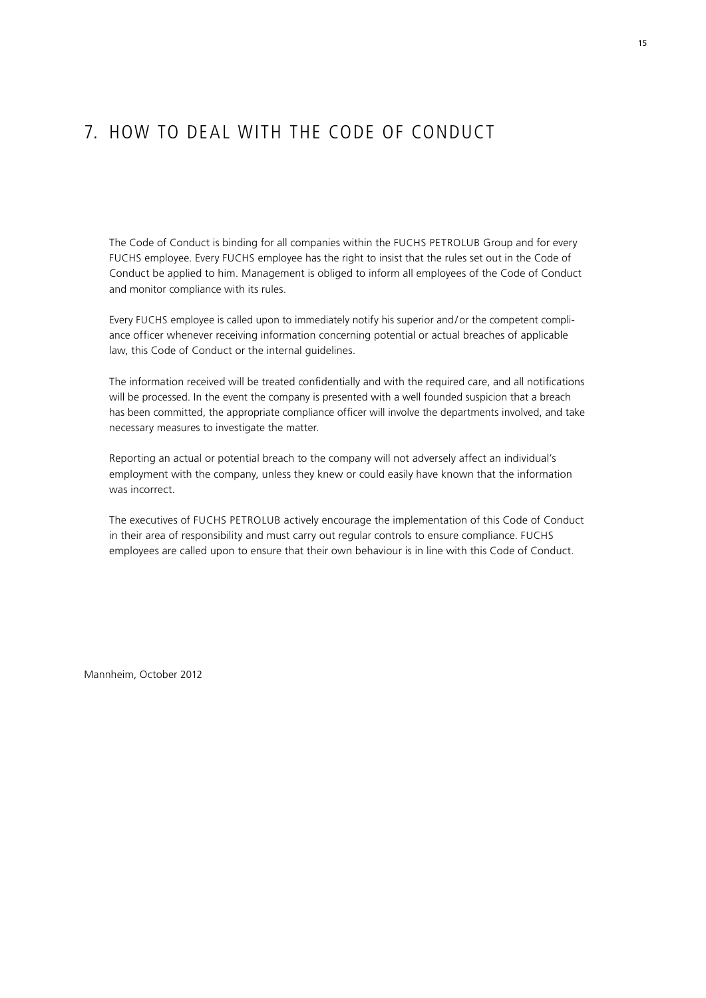### 7. How to deal with the Code of Conduct

The Code of Conduct is binding for all companies within the FUCHS PETROLUB Group and for every FUCHS employee. Every FUCHS employee has the right to insist that the rules set out in the Code of Conduct be applied to him. Management is obliged to inform all employees of the Code of Conduct and monitor compliance with its rules.

Every FUCHS employee is called upon to immediately notify his superior and/or the competent compliance officer whenever receiving information concerning potential or actual breaches of applicable law, this Code of Conduct or the internal guidelines.

The information received will be treated confidentially and with the required care, and all notifications will be processed. In the event the company is presented with a well founded suspicion that a breach has been committed, the appropriate compliance officer will involve the departments involved, and take necessary measures to investigate the matter.

Reporting an actual or potential breach to the company will not adversely affect an individual's employment with the company, unless they knew or could easily have known that the information was incorrect.

The executives of FUCHS PETROLUB actively encourage the implementation of this Code of Conduct in their area of responsibility and must carry out regular controls to ensure compliance. FUCHS employees are called upon to ensure that their own behaviour is in line with this Code of Conduct.

Mannheim, October 2012